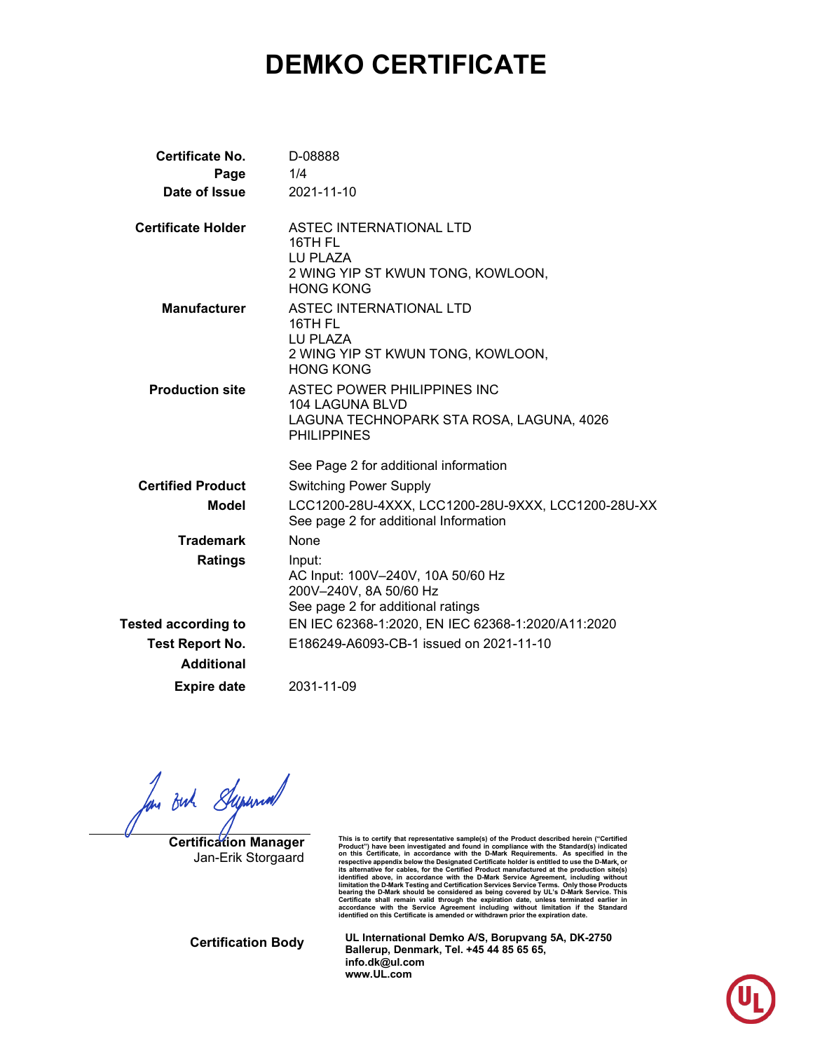# **DEMKO CERTIFICATE**

| <b>Certificate No.</b><br>Page<br>Date of Issue | D-08888<br>1/4<br>2021-11-10                                                                                     |
|-------------------------------------------------|------------------------------------------------------------------------------------------------------------------|
| <b>Certificate Holder</b>                       | ASTEC INTERNATIONAL LTD<br>16TH FL<br>LU PLAZA<br>2 WING YIP ST KWUN TONG, KOWLOON,<br><b>HONG KONG</b>          |
| <b>Manufacturer</b>                             | <b>ASTEC INTERNATIONAL LTD</b><br>16TH FL<br>LU PLAZA<br>2 WING YIP ST KWUN TONG, KOWLOON,<br><b>HONG KONG</b>   |
| <b>Production site</b>                          | ASTEC POWER PHILIPPINES INC<br>104 LAGUNA BLVD<br>LAGUNA TECHNOPARK STA ROSA, LAGUNA, 4026<br><b>PHILIPPINES</b> |
|                                                 | See Page 2 for additional information                                                                            |
| <b>Certified Product</b>                        | <b>Switching Power Supply</b>                                                                                    |
| <b>Model</b>                                    | LCC1200-28U-4XXX, LCC1200-28U-9XXX, LCC1200-28U-XX<br>See page 2 for additional Information                      |
| <b>Trademark</b>                                | None                                                                                                             |
| <b>Ratings</b>                                  | Input:<br>AC Input: 100V-240V, 10A 50/60 Hz<br>200V-240V, 8A 50/60 Hz<br>See page 2 for additional ratings       |
| <b>Tested according to</b>                      | EN IEC 62368-1:2020, EN IEC 62368-1:2020/A11:2020                                                                |
| <b>Test Report No.</b>                          | E186249-A6093-CB-1 issued on 2021-11-10                                                                          |
| <b>Additional</b>                               |                                                                                                                  |
| <b>Expire date</b>                              | 2031-11-09                                                                                                       |

for out Supernal

**Certification Manager** Jan-Erik Storgaard

This is to certify that representative sample(s) of the Product described herein ("Certified<br>Product") have been investigated and found in compliance with the Standard(s) indicated<br>on this Certificate, in accordance with t respective appendix below the Designated Certificate holder is entitled to use the D-Mark, or<br>its alternative for cables, for the Certified Product manufactured at the production stie(s)<br>identified above, in accordance wit

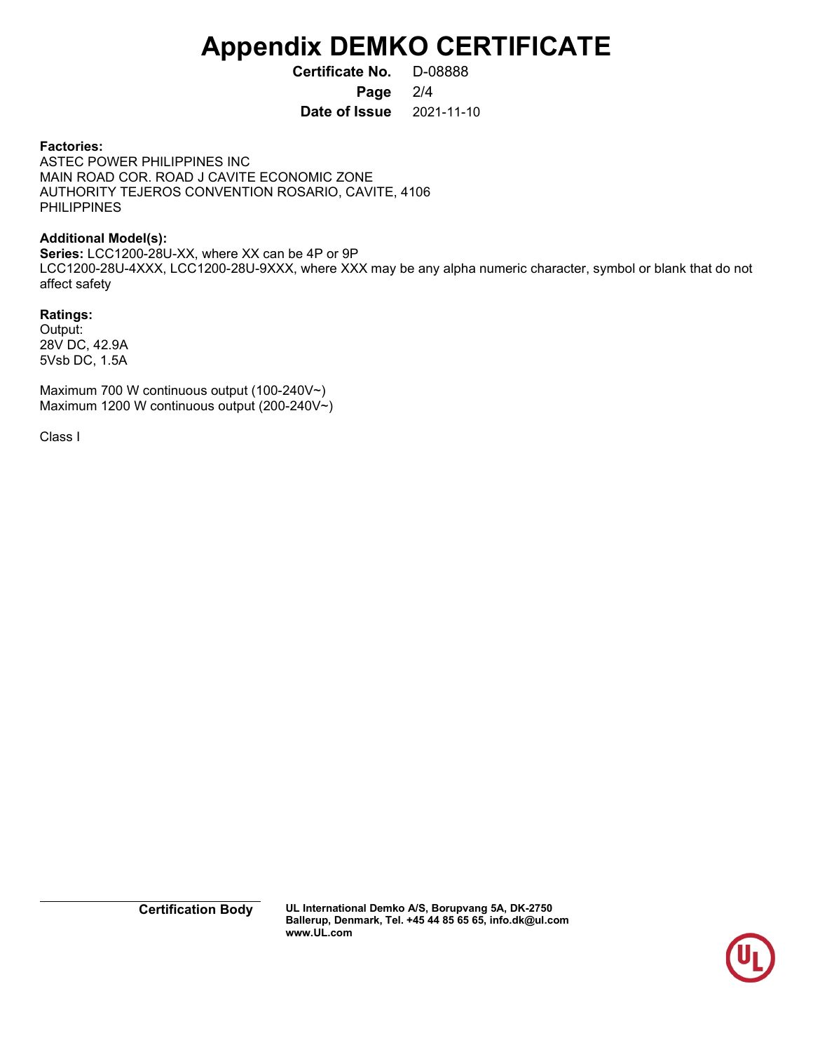# **Appendix DEMKO CERTIFICATE**

**Certificate No.** D-08888 **Page** 2/4

**Date of Issue** 2021-11-10

#### **Factories:**

ASTEC POWER PHILIPPINES INC MAIN ROAD COR. ROAD J CAVITE ECONOMIC ZONE AUTHORITY TEJEROS CONVENTION ROSARIO, CAVITE, 4106 PHILIPPINES

#### **Additional Model(s):**

**Series:** LCC1200-28U-XX, where XX can be 4P or 9P LCC1200-28U-4XXX, LCC1200-28U-9XXX, where XXX may be any alpha numeric character, symbol or blank that do not affect safety

#### **Ratings:**

Output: 28V DC, 42.9A 5Vsb DC, 1.5A

Maximum 700 W continuous output (100-240V~) Maximum 1200 W continuous output (200-240V~)

Class I

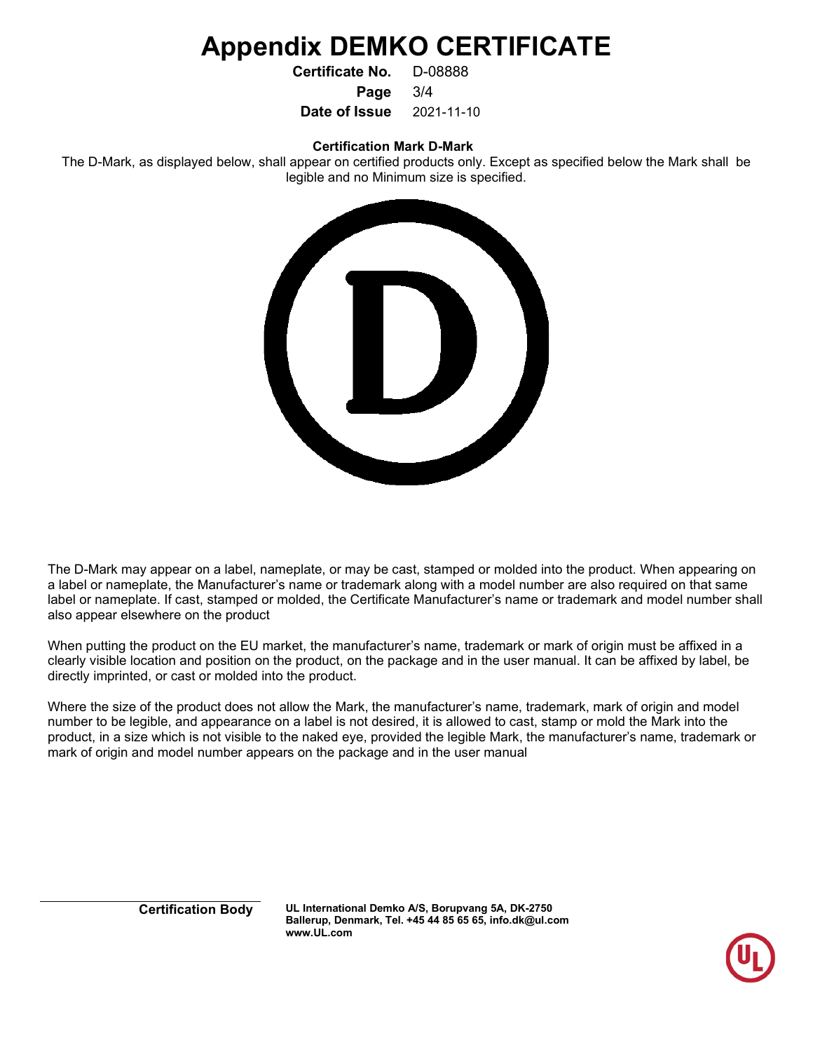## **Appendix DEMKO CERTIFICATE**

**Certificate No.** D-08888

**Page** 3/4

**Date of Issue** 2021-11-10

**Certification Mark D-Mark**

The D-Mark, as displayed below, shall appear on certified products only. Except as specified below the Mark shall be legible and no Minimum size is specified.



The D-Mark may appear on a label, nameplate, or may be cast, stamped or molded into the product. When appearing on a label or nameplate, the Manufacturer's name or trademark along with a model number are also required on that same label or nameplate. If cast, stamped or molded, the Certificate Manufacturer's name or trademark and model number shall also appear elsewhere on the product

When putting the product on the EU market, the manufacturer's name, trademark or mark of origin must be affixed in a clearly visible location and position on the product, on the package and in the user manual. It can be affixed by label, be directly imprinted, or cast or molded into the product.

Where the size of the product does not allow the Mark, the manufacturer's name, trademark, mark of origin and model number to be legible, and appearance on a label is not desired, it is allowed to cast, stamp or mold the Mark into the product, in a size which is not visible to the naked eye, provided the legible Mark, the manufacturer's name, trademark or mark of origin and model number appears on the package and in the user manual